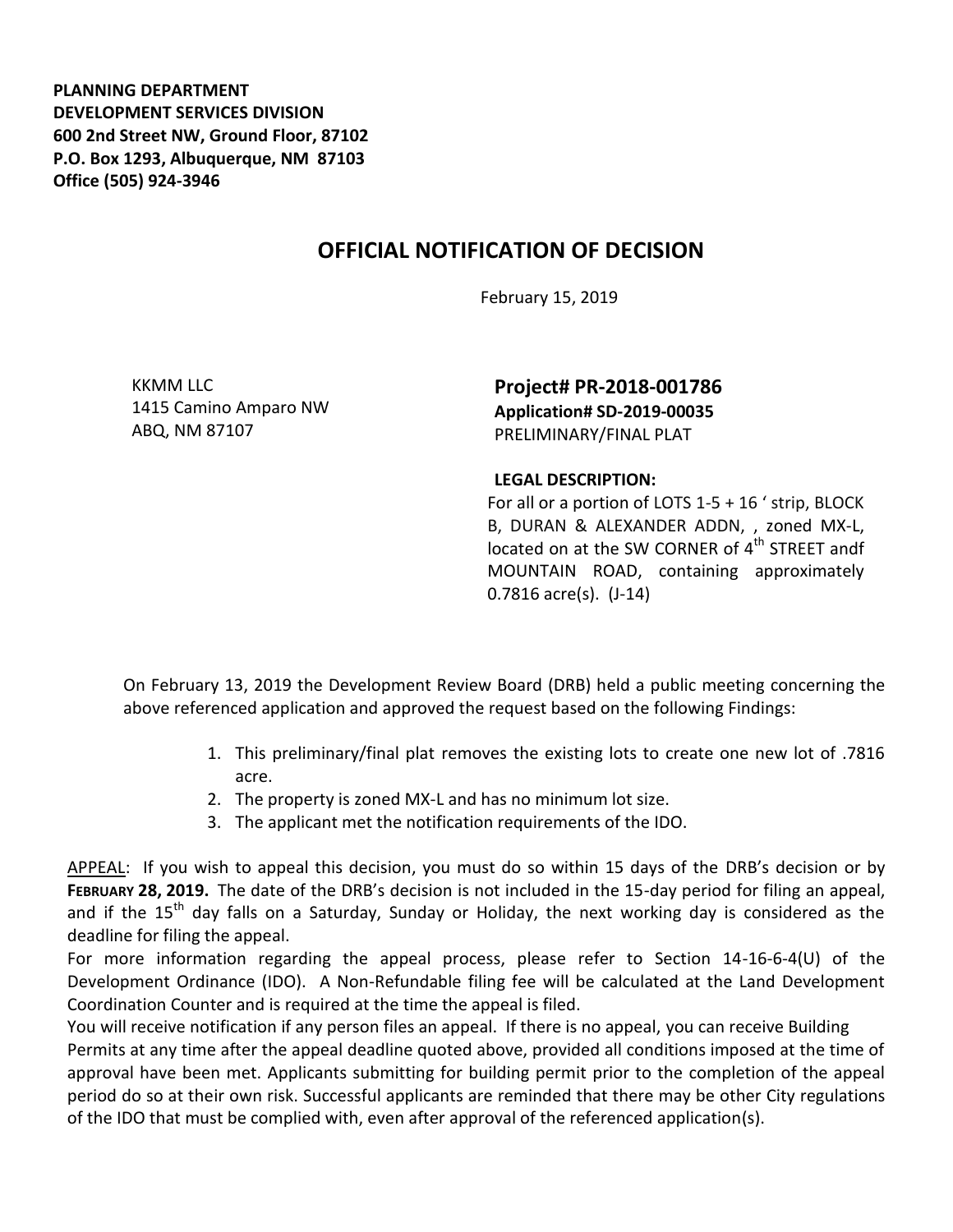**PLANNING DEPARTMENT DEVELOPMENT SERVICES DIVISION 600 2nd Street NW, Ground Floor, 87102 P.O. Box 1293, Albuquerque, NM 87103 Office (505) 924-3946** 

## **OFFICIAL NOTIFICATION OF DECISION**

February 15, 2019

KKMM LLC 1415 Camino Amparo NW ABQ, NM 87107

**Project# PR-2018-001786 Application# SD-2019-00035** PRELIMINARY/FINAL PLAT

## **LEGAL DESCRIPTION:**

For all or a portion of LOTS 1-5 + 16 ' strip, BLOCK B, DURAN & ALEXANDER ADDN, , zoned MX-L, located on at the SW CORNER of  $4<sup>th</sup>$  STREET andf MOUNTAIN ROAD, containing approximately 0.7816 acre(s). (J-14)

On February 13, 2019 the Development Review Board (DRB) held a public meeting concerning the above referenced application and approved the request based on the following Findings:

- 1. This preliminary/final plat removes the existing lots to create one new lot of .7816 acre.
- 2. The property is zoned MX-L and has no minimum lot size.
- 3. The applicant met the notification requirements of the IDO.

APPEAL: If you wish to appeal this decision, you must do so within 15 days of the DRB's decision or by **FEBRUARY 28, 2019.** The date of the DRB's decision is not included in the 15-day period for filing an appeal, and if the  $15<sup>th</sup>$  day falls on a Saturday, Sunday or Holiday, the next working day is considered as the deadline for filing the appeal.

For more information regarding the appeal process, please refer to Section 14-16-6-4(U) of the Development Ordinance (IDO). A Non-Refundable filing fee will be calculated at the Land Development Coordination Counter and is required at the time the appeal is filed.

You will receive notification if any person files an appeal. If there is no appeal, you can receive Building Permits at any time after the appeal deadline quoted above, provided all conditions imposed at the time of approval have been met. Applicants submitting for building permit prior to the completion of the appeal period do so at their own risk. Successful applicants are reminded that there may be other City regulations of the IDO that must be complied with, even after approval of the referenced application(s).